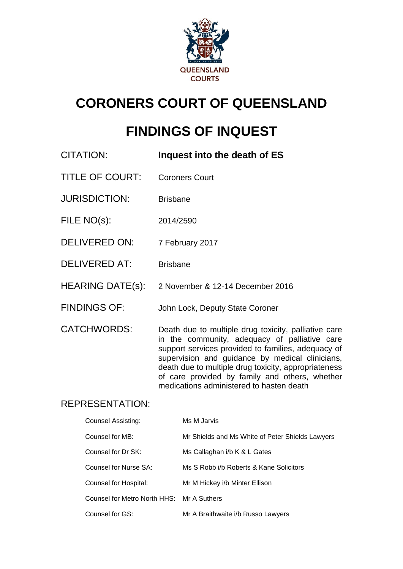

# **CORONERS COURT OF QUEENSLAND**

## **FINDINGS OF INQUEST**

- CITATION: **Inquest into the death of ES** TITLE OF COURT: Coroners Court JURISDICTION: Brisbane FILE NO(s): 2014/2590 DELIVERED ON: 7 February 2017 DELIVERED AT: Brisbane
- HEARING DATE(s): 2 November & 12-14 December 2016
- FINDINGS OF: John Lock, Deputy State Coroner

CATCHWORDS: Death due to multiple drug toxicity, palliative care in the community, adequacy of palliative care support services provided to families, adequacy of supervision and guidance by medical clinicians, death due to multiple drug toxicity, appropriateness of care provided by family and others, whether medications administered to hasten death

## REPRESENTATION:

| Counsel Assisting:                        | Ms M Jarvis                                      |
|-------------------------------------------|--------------------------------------------------|
| Counsel for MB:                           | Mr Shields and Ms White of Peter Shields Lawyers |
| Counsel for Dr SK:                        | Ms Callaghan i/b K & L Gates                     |
| Counsel for Nurse SA:                     | Ms S Robb i/b Roberts & Kane Solicitors          |
| Counsel for Hospital:                     | Mr M Hickey i/b Minter Ellison                   |
| Counsel for Metro North HHS: Mr A Suthers |                                                  |
| Counsel for GS:                           | Mr A Braithwaite i/b Russo Lawyers               |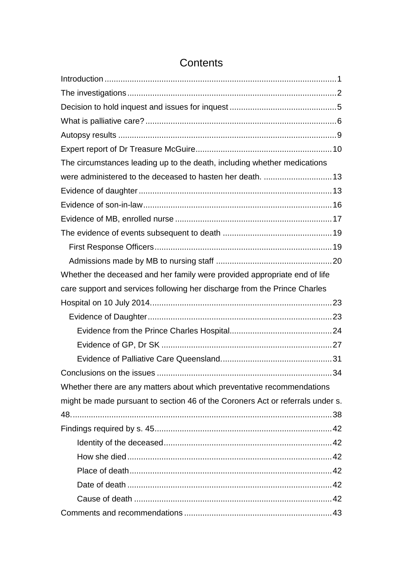| The circumstances leading up to the death, including whether medications       |  |
|--------------------------------------------------------------------------------|--|
|                                                                                |  |
|                                                                                |  |
|                                                                                |  |
|                                                                                |  |
|                                                                                |  |
|                                                                                |  |
|                                                                                |  |
| Whether the deceased and her family were provided appropriate end of life      |  |
| care support and services following her discharge from the Prince Charles      |  |
|                                                                                |  |
|                                                                                |  |
|                                                                                |  |
|                                                                                |  |
|                                                                                |  |
|                                                                                |  |
| Whether there are any matters about which preventative recommendations         |  |
| might be made pursuant to section 46 of the Coroners Act or referrals under s. |  |
|                                                                                |  |
|                                                                                |  |
|                                                                                |  |
|                                                                                |  |
|                                                                                |  |
|                                                                                |  |
|                                                                                |  |
|                                                                                |  |

## **Contents**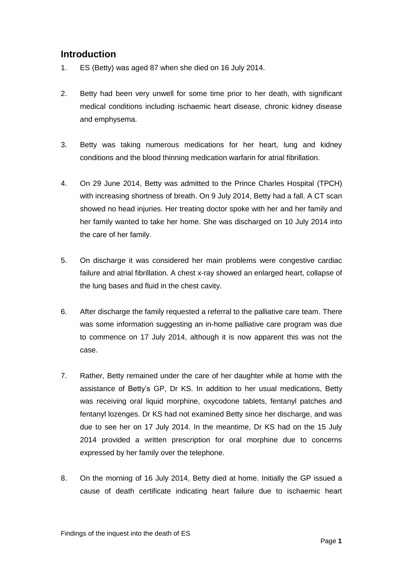## <span id="page-2-0"></span>**Introduction**

- 1. ES (Betty) was aged 87 when she died on 16 July 2014.
- 2. Betty had been very unwell for some time prior to her death, with significant medical conditions including ischaemic heart disease, chronic kidney disease and emphysema.
- 3. Betty was taking numerous medications for her heart, lung and kidney conditions and the blood thinning medication warfarin for atrial fibrillation.
- 4. On 29 June 2014, Betty was admitted to the Prince Charles Hospital (TPCH) with increasing shortness of breath. On 9 July 2014, Betty had a fall. A CT scan showed no head injuries. Her treating doctor spoke with her and her family and her family wanted to take her home. She was discharged on 10 July 2014 into the care of her family.
- 5. On discharge it was considered her main problems were congestive cardiac failure and atrial fibrillation. A chest x-ray showed an enlarged heart, collapse of the lung bases and fluid in the chest cavity.
- 6. After discharge the family requested a referral to the palliative care team. There was some information suggesting an in-home palliative care program was due to commence on 17 July 2014, although it is now apparent this was not the case.
- 7. Rather, Betty remained under the care of her daughter while at home with the assistance of Betty's GP, Dr KS. In addition to her usual medications, Betty was receiving oral liquid morphine, oxycodone tablets, fentanyl patches and fentanyl lozenges. Dr KS had not examined Betty since her discharge, and was due to see her on 17 July 2014. In the meantime, Dr KS had on the 15 July 2014 provided a written prescription for oral morphine due to concerns expressed by her family over the telephone.
- 8. On the morning of 16 July 2014, Betty died at home. Initially the GP issued a cause of death certificate indicating heart failure due to ischaemic heart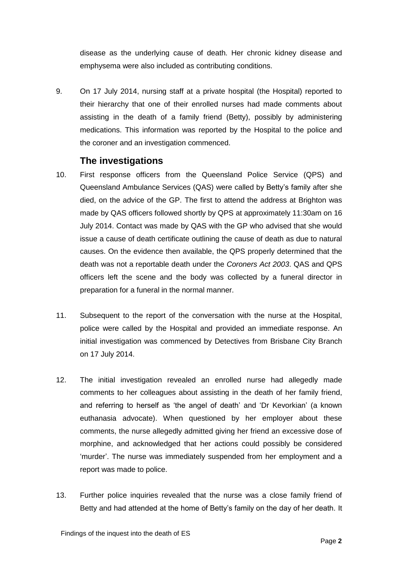disease as the underlying cause of death. Her chronic kidney disease and emphysema were also included as contributing conditions.

9. On 17 July 2014, nursing staff at a private hospital (the Hospital) reported to their hierarchy that one of their enrolled nurses had made comments about assisting in the death of a family friend (Betty), possibly by administering medications. This information was reported by the Hospital to the police and the coroner and an investigation commenced.

### **The investigations**

- <span id="page-3-0"></span>10. First response officers from the Queensland Police Service (QPS) and Queensland Ambulance Services (QAS) were called by Betty's family after she died, on the advice of the GP. The first to attend the address at Brighton was made by QAS officers followed shortly by QPS at approximately 11:30am on 16 July 2014. Contact was made by QAS with the GP who advised that she would issue a cause of death certificate outlining the cause of death as due to natural causes. On the evidence then available, the QPS properly determined that the death was not a reportable death under the *Coroners Act 2003*. QAS and QPS officers left the scene and the body was collected by a funeral director in preparation for a funeral in the normal manner.
- 11. Subsequent to the report of the conversation with the nurse at the Hospital, police were called by the Hospital and provided an immediate response. An initial investigation was commenced by Detectives from Brisbane City Branch on 17 July 2014.
- 12. The initial investigation revealed an enrolled nurse had allegedly made comments to her colleagues about assisting in the death of her family friend, and referring to herself as 'the angel of death' and 'Dr Kevorkian' (a known euthanasia advocate). When questioned by her employer about these comments, the nurse allegedly admitted giving her friend an excessive dose of morphine, and acknowledged that her actions could possibly be considered 'murder'. The nurse was immediately suspended from her employment and a report was made to police.
- 13. Further police inquiries revealed that the nurse was a close family friend of Betty and had attended at the home of Betty's family on the day of her death. It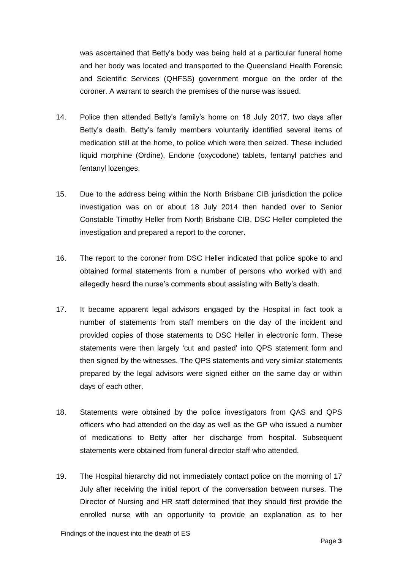was ascertained that Betty's body was being held at a particular funeral home and her body was located and transported to the Queensland Health Forensic and Scientific Services (QHFSS) government morgue on the order of the coroner. A warrant to search the premises of the nurse was issued.

- 14. Police then attended Betty's family's home on 18 July 2017, two days after Betty's death. Betty's family members voluntarily identified several items of medication still at the home, to police which were then seized. These included liquid morphine (Ordine), Endone (oxycodone) tablets, fentanyl patches and fentanyl lozenges.
- 15. Due to the address being within the North Brisbane CIB jurisdiction the police investigation was on or about 18 July 2014 then handed over to Senior Constable Timothy Heller from North Brisbane CIB. DSC Heller completed the investigation and prepared a report to the coroner.
- 16. The report to the coroner from DSC Heller indicated that police spoke to and obtained formal statements from a number of persons who worked with and allegedly heard the nurse's comments about assisting with Betty's death.
- 17. It became apparent legal advisors engaged by the Hospital in fact took a number of statements from staff members on the day of the incident and provided copies of those statements to DSC Heller in electronic form. These statements were then largely 'cut and pasted' into QPS statement form and then signed by the witnesses. The QPS statements and very similar statements prepared by the legal advisors were signed either on the same day or within days of each other.
- 18. Statements were obtained by the police investigators from QAS and QPS officers who had attended on the day as well as the GP who issued a number of medications to Betty after her discharge from hospital. Subsequent statements were obtained from funeral director staff who attended.
- 19. The Hospital hierarchy did not immediately contact police on the morning of 17 July after receiving the initial report of the conversation between nurses. The Director of Nursing and HR staff determined that they should first provide the enrolled nurse with an opportunity to provide an explanation as to her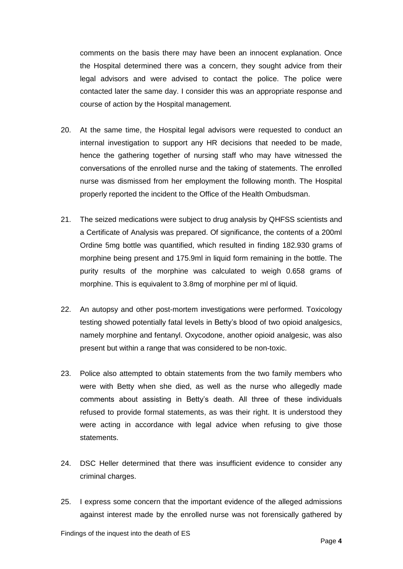comments on the basis there may have been an innocent explanation. Once the Hospital determined there was a concern, they sought advice from their legal advisors and were advised to contact the police. The police were contacted later the same day. I consider this was an appropriate response and course of action by the Hospital management.

- 20. At the same time, the Hospital legal advisors were requested to conduct an internal investigation to support any HR decisions that needed to be made, hence the gathering together of nursing staff who may have witnessed the conversations of the enrolled nurse and the taking of statements. The enrolled nurse was dismissed from her employment the following month. The Hospital properly reported the incident to the Office of the Health Ombudsman.
- 21. The seized medications were subject to drug analysis by QHFSS scientists and a Certificate of Analysis was prepared. Of significance, the contents of a 200ml Ordine 5mg bottle was quantified, which resulted in finding 182.930 grams of morphine being present and 175.9ml in liquid form remaining in the bottle. The purity results of the morphine was calculated to weigh 0.658 grams of morphine. This is equivalent to 3.8mg of morphine per ml of liquid.
- 22. An autopsy and other post-mortem investigations were performed. Toxicology testing showed potentially fatal levels in Betty's blood of two opioid analgesics, namely morphine and fentanyl. Oxycodone, another opioid analgesic, was also present but within a range that was considered to be non-toxic.
- 23. Police also attempted to obtain statements from the two family members who were with Betty when she died, as well as the nurse who allegedly made comments about assisting in Betty's death. All three of these individuals refused to provide formal statements, as was their right. It is understood they were acting in accordance with legal advice when refusing to give those statements.
- 24. DSC Heller determined that there was insufficient evidence to consider any criminal charges.
- 25. I express some concern that the important evidence of the alleged admissions against interest made by the enrolled nurse was not forensically gathered by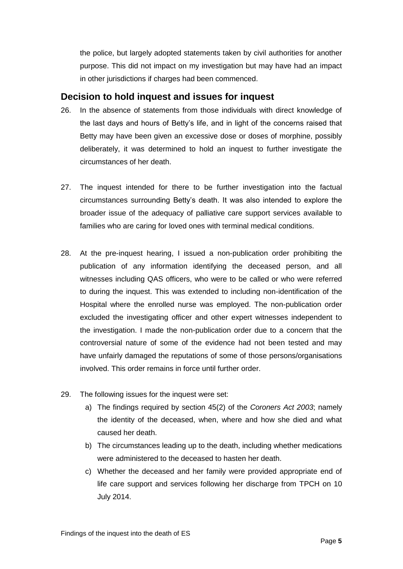the police, but largely adopted statements taken by civil authorities for another purpose. This did not impact on my investigation but may have had an impact in other jurisdictions if charges had been commenced.

### <span id="page-6-0"></span>**Decision to hold inquest and issues for inquest**

- 26. In the absence of statements from those individuals with direct knowledge of the last days and hours of Betty's life, and in light of the concerns raised that Betty may have been given an excessive dose or doses of morphine, possibly deliberately, it was determined to hold an inquest to further investigate the circumstances of her death.
- 27. The inquest intended for there to be further investigation into the factual circumstances surrounding Betty's death. It was also intended to explore the broader issue of the adequacy of palliative care support services available to families who are caring for loved ones with terminal medical conditions.
- 28. At the pre-inquest hearing, I issued a non-publication order prohibiting the publication of any information identifying the deceased person, and all witnesses including QAS officers, who were to be called or who were referred to during the inquest. This was extended to including non-identification of the Hospital where the enrolled nurse was employed. The non-publication order excluded the investigating officer and other expert witnesses independent to the investigation. I made the non-publication order due to a concern that the controversial nature of some of the evidence had not been tested and may have unfairly damaged the reputations of some of those persons/organisations involved. This order remains in force until further order.
- 29. The following issues for the inquest were set:
	- a) The findings required by section 45(2) of the *Coroners Act 2003*; namely the identity of the deceased, when, where and how she died and what caused her death.
	- b) The circumstances leading up to the death, including whether medications were administered to the deceased to hasten her death.
	- c) Whether the deceased and her family were provided appropriate end of life care support and services following her discharge from TPCH on 10 July 2014.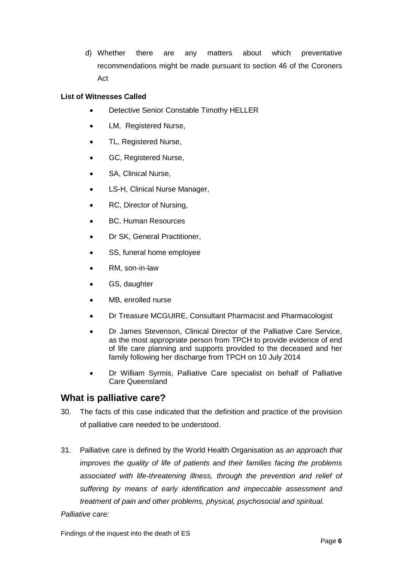d) Whether there are any matters about which preventative recommendations might be made pursuant to section 46 of the Coroners Act

#### **List of Witnesses Called**

- Detective Senior Constable Timothy HELLER
- LM, Registered Nurse,
- TL, Registered Nurse,
- GC, Registered Nurse,
- SA, Clinical Nurse,
- LS-H, Clinical Nurse Manager,
- RC, Director of Nursing,
- BC, Human Resources
- Dr SK, General Practitioner,
- SS, funeral home employee
- RM, son-in-law
- GS, daughter
- MB, enrolled nurse
- Dr Treasure MCGUIRE, Consultant Pharmacist and Pharmacologist
- Dr James Stevenson, Clinical Director of the Palliative Care Service, as the most appropriate person from TPCH to provide evidence of end of life care planning and supports provided to the deceased and her family following her discharge from TPCH on 10 July 2014
- Dr William Syrmis, Palliative Care specialist on behalf of Palliative Care Queensland

## <span id="page-7-0"></span>**What is palliative care?**

- 30. The facts of this case indicated that the definition and practice of the provision of palliative care needed to be understood.
- 31. Palliative care is defined by the World Health Organisation as *an approach that improves the quality of life of patients and their families facing the problems associated with life-threatening illness, through the prevention and relief of suffering by means of early identification and impeccable assessment and treatment of pain and other problems, physical, psychosocial and spiritual.*

#### *Palliative care:*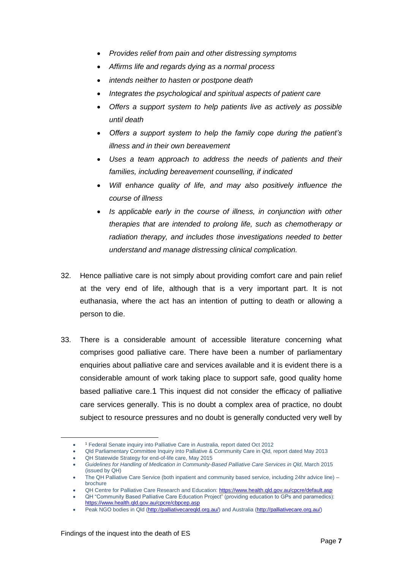- *Provides relief from pain and other distressing symptoms*
- *Affirms life and regards dying as a normal process*
- *intends neither to hasten or postpone death*
- *Integrates the psychological and spiritual aspects of patient care*
- *Offers a support system to help patients live as actively as possible until death*
- *Offers a support system to help the family cope during the patient's illness and in their own bereavement*
- *Uses a team approach to address the needs of patients and their families, including bereavement counselling, if indicated*
- *Will enhance quality of life, and may also positively influence the course of illness*
- *Is applicable early in the course of illness, in conjunction with other therapies that are intended to prolong life, such as chemotherapy or radiation therapy, and includes those investigations needed to better understand and manage distressing clinical complication.*
- 32. Hence palliative care is not simply about providing comfort care and pain relief at the very end of life, although that is a very important part. It is not euthanasia, where the act has an intention of putting to death or allowing a person to die.
- 33. There is a considerable amount of accessible literature concerning what comprises good palliative care. There have been a number of parliamentary enquiries about palliative care and services available and it is evident there is a considerable amount of work taking place to support safe, good quality home based palliative care.1 This inquest did not consider the efficacy of palliative care services generally. This is no doubt a complex area of practice, no doubt subject to resource pressures and no doubt is generally conducted very well by

l

 $\bullet$ <sup>1</sup> Federal Senate inquiry into Palliative Care in Australia, report dated Oct 2012

Qld Parliamentary Committee Inquiry into Palliative & Community Care in Qld, report dated May 2013 QH Statewide Strategy for end-of-life care, May 2015

*Guidelines for Handling of Medication in Community-Based Palliative Care Services in Qld*, March 2015 (issued by QH)

The QH Palliative Care Service (both inpatient and community based service, including 24hr advice line) – brochure

QH Centre for Palliative Care Research and Education[: https://www.health.qld.gov.au/cpcre/default.asp](https://www.health.qld.gov.au/cpcre/default.asp)

QH "Community Based Palliative Care Education Project" (providing education to GPs and paramedics): <https://www.health.qld.gov.au/cpcre/cbpcep.asp>

Peak NGO bodies in Qld [\(http://palliativecareqld.org.au/\)](http://palliativecareqld.org.au/) and Australia [\(http://palliativecare.org.au/\)](http://palliativecare.org.au/)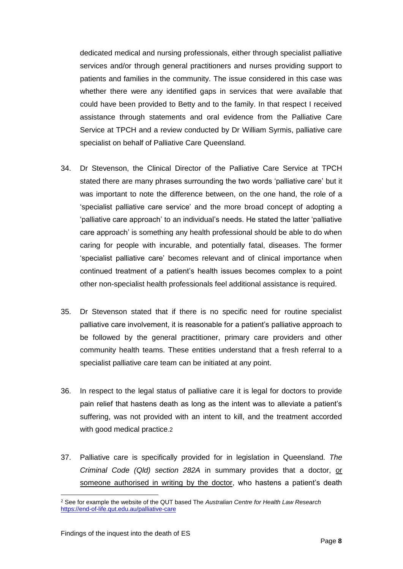dedicated medical and nursing professionals, either through specialist palliative services and/or through general practitioners and nurses providing support to patients and families in the community. The issue considered in this case was whether there were any identified gaps in services that were available that could have been provided to Betty and to the family. In that respect I received assistance through statements and oral evidence from the Palliative Care Service at TPCH and a review conducted by Dr William Syrmis, palliative care specialist on behalf of Palliative Care Queensland.

- 34. Dr Stevenson, the Clinical Director of the Palliative Care Service at TPCH stated there are many phrases surrounding the two words 'palliative care' but it was important to note the difference between, on the one hand, the role of a 'specialist palliative care service' and the more broad concept of adopting a 'palliative care approach' to an individual's needs. He stated the latter 'palliative care approach' is something any health professional should be able to do when caring for people with incurable, and potentially fatal, diseases. The former 'specialist palliative care' becomes relevant and of clinical importance when continued treatment of a patient's health issues becomes complex to a point other non-specialist health professionals feel additional assistance is required.
- 35. Dr Stevenson stated that if there is no specific need for routine specialist palliative care involvement, it is reasonable for a patient's palliative approach to be followed by the general practitioner, primary care providers and other community health teams. These entities understand that a fresh referral to a specialist palliative care team can be initiated at any point.
- 36. In respect to the legal status of palliative care it is legal for doctors to provide pain relief that hastens death as long as the intent was to alleviate a patient's suffering, was not provided with an intent to kill, and the treatment accorded with good medical practice.2
- 37. Palliative care is specifically provided for in legislation in Queensland. *The Criminal Code (Qld) section 282A* in summary provides that a doctor, or someone authorised in writing by the doctor, who hastens a patient's death

l <sup>2</sup> See for example the website of the QUT based The *Australian Centre for Health Law Research*  <https://end-of-life.qut.edu.au/palliative-care>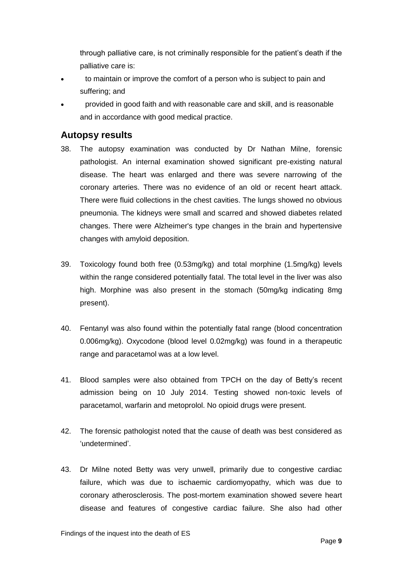through palliative care, is not criminally responsible for the patient's death if the palliative care is:

- to maintain or improve the comfort of a person who is subject to pain and suffering; and
- provided in good faith and with reasonable care and skill, and is reasonable and in accordance with good medical practice.

#### <span id="page-10-0"></span>**Autopsy results**

- 38. The autopsy examination was conducted by Dr Nathan Milne, forensic pathologist. An internal examination showed significant pre-existing natural disease. The heart was enlarged and there was severe narrowing of the coronary arteries. There was no evidence of an old or recent heart attack. There were fluid collections in the chest cavities. The lungs showed no obvious pneumonia. The kidneys were small and scarred and showed diabetes related changes. There were Alzheimer's type changes in the brain and hypertensive changes with amyloid deposition.
- 39. Toxicology found both free (0.53mg/kg) and total morphine (1.5mg/kg) levels within the range considered potentially fatal. The total level in the liver was also high. Morphine was also present in the stomach (50mg/kg indicating 8mg present).
- 40. Fentanyl was also found within the potentially fatal range (blood concentration 0.006mg/kg). Oxycodone (blood level 0.02mg/kg) was found in a therapeutic range and paracetamol was at a low level.
- 41. Blood samples were also obtained from TPCH on the day of Betty's recent admission being on 10 July 2014. Testing showed non-toxic levels of paracetamol, warfarin and metoprolol. No opioid drugs were present.
- 42. The forensic pathologist noted that the cause of death was best considered as 'undetermined'.
- 43. Dr Milne noted Betty was very unwell, primarily due to congestive cardiac failure, which was due to ischaemic cardiomyopathy, which was due to coronary atherosclerosis. The post-mortem examination showed severe heart disease and features of congestive cardiac failure. She also had other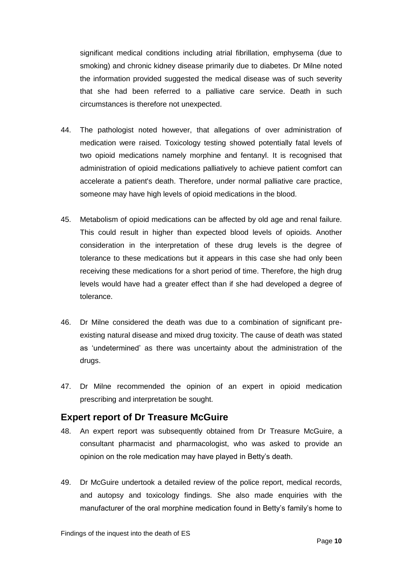significant medical conditions including atrial fibrillation, emphysema (due to smoking) and chronic kidney disease primarily due to diabetes. Dr Milne noted the information provided suggested the medical disease was of such severity that she had been referred to a palliative care service. Death in such circumstances is therefore not unexpected.

- 44. The pathologist noted however, that allegations of over administration of medication were raised. Toxicology testing showed potentially fatal levels of two opioid medications namely morphine and fentanyl. It is recognised that administration of opioid medications palliatively to achieve patient comfort can accelerate a patient's death. Therefore, under normal palliative care practice, someone may have high levels of opioid medications in the blood.
- 45. Metabolism of opioid medications can be affected by old age and renal failure. This could result in higher than expected blood levels of opioids. Another consideration in the interpretation of these drug levels is the degree of tolerance to these medications but it appears in this case she had only been receiving these medications for a short period of time. Therefore, the high drug levels would have had a greater effect than if she had developed a degree of tolerance.
- 46. Dr Milne considered the death was due to a combination of significant preexisting natural disease and mixed drug toxicity. The cause of death was stated as 'undetermined' as there was uncertainty about the administration of the drugs.
- 47. Dr Milne recommended the opinion of an expert in opioid medication prescribing and interpretation be sought.

## <span id="page-11-0"></span>**Expert report of Dr Treasure McGuire**

- 48. An expert report was subsequently obtained from Dr Treasure McGuire, a consultant pharmacist and pharmacologist, who was asked to provide an opinion on the role medication may have played in Betty's death.
- 49. Dr McGuire undertook a detailed review of the police report, medical records, and autopsy and toxicology findings. She also made enquiries with the manufacturer of the oral morphine medication found in Betty's family's home to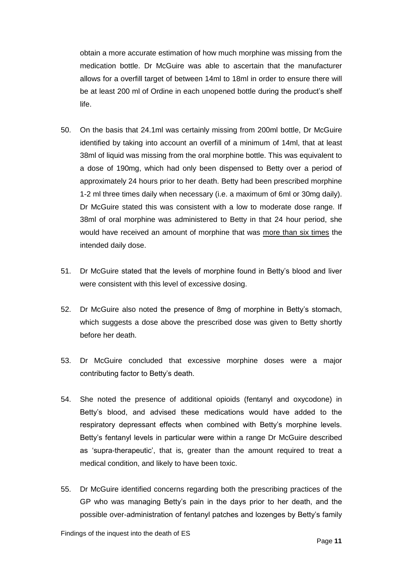obtain a more accurate estimation of how much morphine was missing from the medication bottle. Dr McGuire was able to ascertain that the manufacturer allows for a overfill target of between 14ml to 18ml in order to ensure there will be at least 200 ml of Ordine in each unopened bottle during the product's shelf life.

- 50. On the basis that 24.1ml was certainly missing from 200ml bottle, Dr McGuire identified by taking into account an overfill of a minimum of 14ml, that at least 38ml of liquid was missing from the oral morphine bottle. This was equivalent to a dose of 190mg, which had only been dispensed to Betty over a period of approximately 24 hours prior to her death. Betty had been prescribed morphine 1-2 ml three times daily when necessary (i.e. a maximum of 6ml or 30mg daily). Dr McGuire stated this was consistent with a low to moderate dose range. If 38ml of oral morphine was administered to Betty in that 24 hour period, she would have received an amount of morphine that was more than six times the intended daily dose.
- 51. Dr McGuire stated that the levels of morphine found in Betty's blood and liver were consistent with this level of excessive dosing.
- 52. Dr McGuire also noted the presence of 8mg of morphine in Betty's stomach, which suggests a dose above the prescribed dose was given to Betty shortly before her death.
- 53. Dr McGuire concluded that excessive morphine doses were a major contributing factor to Betty's death.
- 54. She noted the presence of additional opioids (fentanyl and oxycodone) in Betty's blood, and advised these medications would have added to the respiratory depressant effects when combined with Betty's morphine levels. Betty's fentanyl levels in particular were within a range Dr McGuire described as 'supra-therapeutic', that is, greater than the amount required to treat a medical condition, and likely to have been toxic.
- 55. Dr McGuire identified concerns regarding both the prescribing practices of the GP who was managing Betty's pain in the days prior to her death, and the possible over-administration of fentanyl patches and lozenges by Betty's family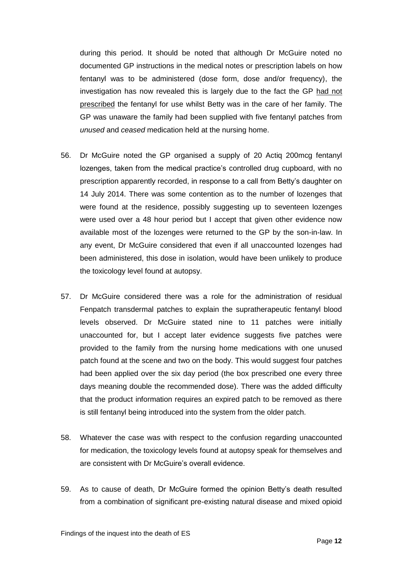during this period. It should be noted that although Dr McGuire noted no documented GP instructions in the medical notes or prescription labels on how fentanyl was to be administered (dose form, dose and/or frequency), the investigation has now revealed this is largely due to the fact the GP had not prescribed the fentanyl for use whilst Betty was in the care of her family. The GP was unaware the family had been supplied with five fentanyl patches from *unused* and *ceased* medication held at the nursing home.

- 56. Dr McGuire noted the GP organised a supply of 20 Actiq 200mcg fentanyl lozenges, taken from the medical practice's controlled drug cupboard, with no prescription apparently recorded, in response to a call from Betty's daughter on 14 July 2014. There was some contention as to the number of lozenges that were found at the residence, possibly suggesting up to seventeen lozenges were used over a 48 hour period but I accept that given other evidence now available most of the lozenges were returned to the GP by the son-in-law. In any event, Dr McGuire considered that even if all unaccounted lozenges had been administered, this dose in isolation, would have been unlikely to produce the toxicology level found at autopsy.
- 57. Dr McGuire considered there was a role for the administration of residual Fenpatch transdermal patches to explain the supratherapeutic fentanyl blood levels observed. Dr McGuire stated nine to 11 patches were initially unaccounted for, but I accept later evidence suggests five patches were provided to the family from the nursing home medications with one unused patch found at the scene and two on the body. This would suggest four patches had been applied over the six day period (the box prescribed one every three days meaning double the recommended dose). There was the added difficulty that the product information requires an expired patch to be removed as there is still fentanyl being introduced into the system from the older patch.
- 58. Whatever the case was with respect to the confusion regarding unaccounted for medication, the toxicology levels found at autopsy speak for themselves and are consistent with Dr McGuire's overall evidence.
- 59. As to cause of death, Dr McGuire formed the opinion Betty's death resulted from a combination of significant pre-existing natural disease and mixed opioid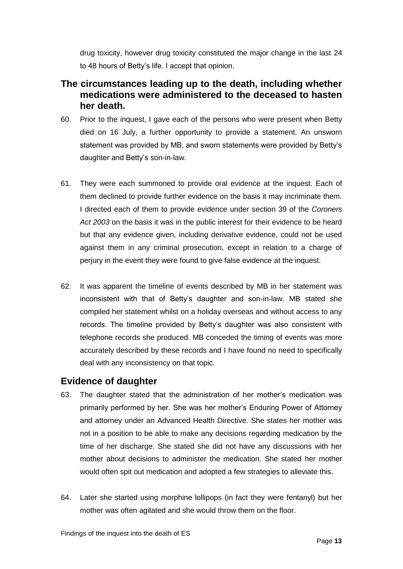drug toxicity, however drug toxicity constituted the major change in the last 24 to 48 hours of Betty's life. I accept that opinion.

## <span id="page-14-0"></span>**The circumstances leading up to the death, including whether medications were administered to the deceased to hasten her death.**

- 60. Prior to the inquest, I gave each of the persons who were present when Betty died on 16 July, a further opportunity to provide a statement. An unsworn statement was provided by MB, and sworn statements were provided by Betty's daughter and Betty's son-in-law.
- 61. They were each summoned to provide oral evidence at the inquest. Each of them declined to provide further evidence on the basis it may incriminate them. I directed each of them to provide evidence under section 39 of the *Coroners Act 2003* on the basis it was in the public interest for their evidence to be heard but that any evidence given, including derivative evidence, could not be used against them in any criminal prosecution, except in relation to a charge of perjury in the event they were found to give false evidence at the inquest.
- 62. It was apparent the timeline of events described by MB in her statement was inconsistent with that of Betty's daughter and son-in-law. MB stated she compiled her statement whilst on a holiday overseas and without access to any records. The timeline provided by Betty's daughter was also consistent with telephone records she produced. MB conceded the timing of events was more accurately described by these records and I have found no need to specifically deal with any inconsistency on that topic.

#### <span id="page-14-1"></span>**Evidence of daughter**

- 63. The daughter stated that the administration of her mother's medication was primarily performed by her. She was her mother's Enduring Power of Attorney and attorney under an Advanced Health Directive. She states her mother was not in a position to be able to make any decisions regarding medication by the time of her discharge. She stated she did not have any discussions with her mother about decisions to administer the medication. She stated her mother would often spit out medication and adopted a few strategies to alleviate this.
- 64. Later she started using morphine lollipops (in fact they were fentanyl) but her mother was often agitated and she would throw them on the floor.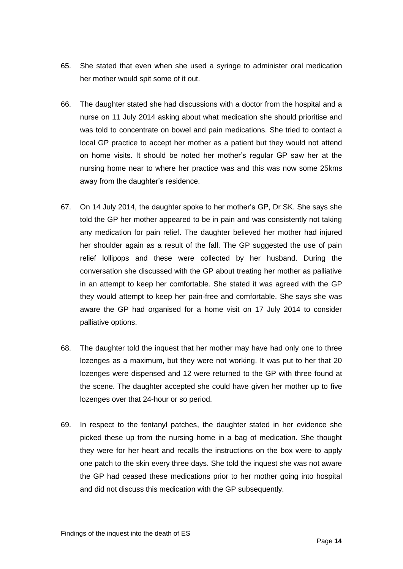- 65. She stated that even when she used a syringe to administer oral medication her mother would spit some of it out.
- 66. The daughter stated she had discussions with a doctor from the hospital and a nurse on 11 July 2014 asking about what medication she should prioritise and was told to concentrate on bowel and pain medications. She tried to contact a local GP practice to accept her mother as a patient but they would not attend on home visits. It should be noted her mother's regular GP saw her at the nursing home near to where her practice was and this was now some 25kms away from the daughter's residence.
- 67. On 14 July 2014, the daughter spoke to her mother's GP, Dr SK. She says she told the GP her mother appeared to be in pain and was consistently not taking any medication for pain relief. The daughter believed her mother had injured her shoulder again as a result of the fall. The GP suggested the use of pain relief lollipops and these were collected by her husband. During the conversation she discussed with the GP about treating her mother as palliative in an attempt to keep her comfortable. She stated it was agreed with the GP they would attempt to keep her pain-free and comfortable. She says she was aware the GP had organised for a home visit on 17 July 2014 to consider palliative options.
- 68. The daughter told the inquest that her mother may have had only one to three lozenges as a maximum, but they were not working. It was put to her that 20 lozenges were dispensed and 12 were returned to the GP with three found at the scene. The daughter accepted she could have given her mother up to five lozenges over that 24-hour or so period.
- 69. In respect to the fentanyl patches, the daughter stated in her evidence she picked these up from the nursing home in a bag of medication. She thought they were for her heart and recalls the instructions on the box were to apply one patch to the skin every three days. She told the inquest she was not aware the GP had ceased these medications prior to her mother going into hospital and did not discuss this medication with the GP subsequently.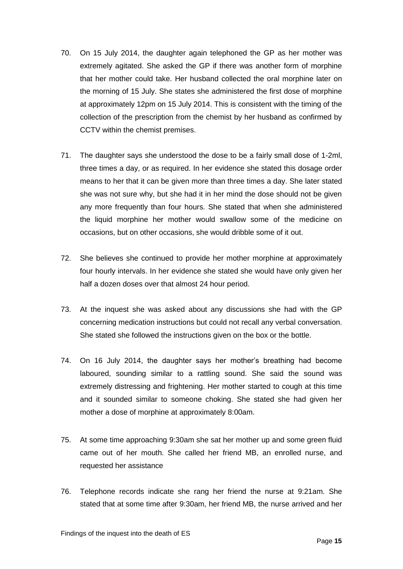- 70. On 15 July 2014, the daughter again telephoned the GP as her mother was extremely agitated. She asked the GP if there was another form of morphine that her mother could take. Her husband collected the oral morphine later on the morning of 15 July. She states she administered the first dose of morphine at approximately 12pm on 15 July 2014. This is consistent with the timing of the collection of the prescription from the chemist by her husband as confirmed by CCTV within the chemist premises.
- 71. The daughter says she understood the dose to be a fairly small dose of 1-2ml, three times a day, or as required. In her evidence she stated this dosage order means to her that it can be given more than three times a day. She later stated she was not sure why, but she had it in her mind the dose should not be given any more frequently than four hours. She stated that when she administered the liquid morphine her mother would swallow some of the medicine on occasions, but on other occasions, she would dribble some of it out.
- 72. She believes she continued to provide her mother morphine at approximately four hourly intervals. In her evidence she stated she would have only given her half a dozen doses over that almost 24 hour period.
- 73. At the inquest she was asked about any discussions she had with the GP concerning medication instructions but could not recall any verbal conversation. She stated she followed the instructions given on the box or the bottle.
- 74. On 16 July 2014, the daughter says her mother's breathing had become laboured, sounding similar to a rattling sound. She said the sound was extremely distressing and frightening. Her mother started to cough at this time and it sounded similar to someone choking. She stated she had given her mother a dose of morphine at approximately 8:00am.
- 75. At some time approaching 9:30am she sat her mother up and some green fluid came out of her mouth. She called her friend MB, an enrolled nurse, and requested her assistance
- 76. Telephone records indicate she rang her friend the nurse at 9:21am. She stated that at some time after 9:30am, her friend MB, the nurse arrived and her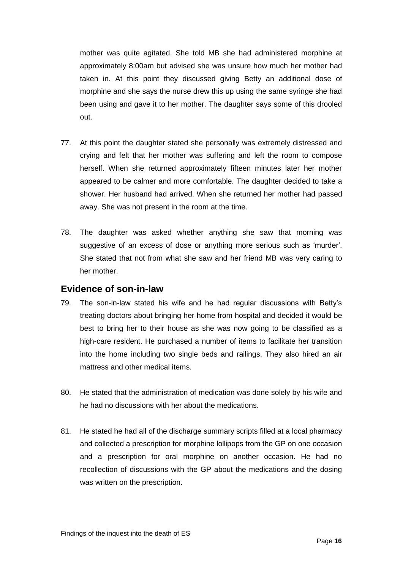mother was quite agitated. She told MB she had administered morphine at approximately 8:00am but advised she was unsure how much her mother had taken in. At this point they discussed giving Betty an additional dose of morphine and she says the nurse drew this up using the same syringe she had been using and gave it to her mother. The daughter says some of this drooled out.

- 77. At this point the daughter stated she personally was extremely distressed and crying and felt that her mother was suffering and left the room to compose herself. When she returned approximately fifteen minutes later her mother appeared to be calmer and more comfortable. The daughter decided to take a shower. Her husband had arrived. When she returned her mother had passed away. She was not present in the room at the time.
- 78. The daughter was asked whether anything she saw that morning was suggestive of an excess of dose or anything more serious such as 'murder'. She stated that not from what she saw and her friend MB was very caring to her mother.

#### <span id="page-17-0"></span>**Evidence of son-in-law**

- 79. The son-in-law stated his wife and he had regular discussions with Betty's treating doctors about bringing her home from hospital and decided it would be best to bring her to their house as she was now going to be classified as a high-care resident. He purchased a number of items to facilitate her transition into the home including two single beds and railings. They also hired an air mattress and other medical items.
- 80. He stated that the administration of medication was done solely by his wife and he had no discussions with her about the medications.
- 81. He stated he had all of the discharge summary scripts filled at a local pharmacy and collected a prescription for morphine lollipops from the GP on one occasion and a prescription for oral morphine on another occasion. He had no recollection of discussions with the GP about the medications and the dosing was written on the prescription.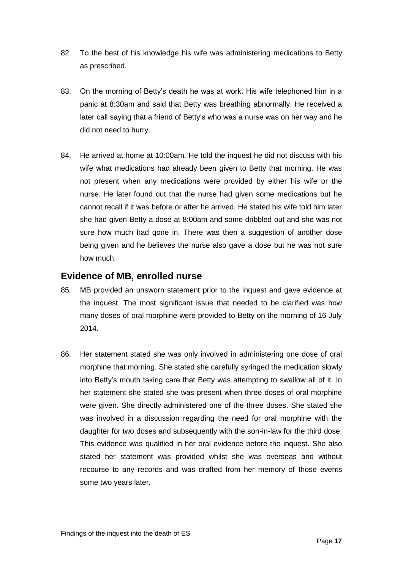- 82. To the best of his knowledge his wife was administering medications to Betty as prescribed.
- 83. On the morning of Betty's death he was at work. His wife telephoned him in a panic at 8:30am and said that Betty was breathing abnormally. He received a later call saying that a friend of Betty's who was a nurse was on her way and he did not need to hurry.
- 84. He arrived at home at 10:00am. He told the inquest he did not discuss with his wife what medications had already been given to Betty that morning. He was not present when any medications were provided by either his wife or the nurse. He later found out that the nurse had given some medications but he cannot recall if it was before or after he arrived. He stated his wife told him later she had given Betty a dose at 8:00am and some dribbled out and she was not sure how much had gone in. There was then a suggestion of another dose being given and he believes the nurse also gave a dose but he was not sure how much.

#### <span id="page-18-0"></span>**Evidence of MB, enrolled nurse**

- 85. MB provided an unsworn statement prior to the inquest and gave evidence at the inquest. The most significant issue that needed to be clarified was how many doses of oral morphine were provided to Betty on the morning of 16 July 2014.
- 86. Her statement stated she was only involved in administering one dose of oral morphine that morning. She stated she carefully syringed the medication slowly into Betty's mouth taking care that Betty was attempting to swallow all of it. In her statement she stated she was present when three doses of oral morphine were given. She directly administered one of the three doses. She stated she was involved in a discussion regarding the need for oral morphine with the daughter for two doses and subsequently with the son-in-law for the third dose. This evidence was qualified in her oral evidence before the inquest. She also stated her statement was provided whilst she was overseas and without recourse to any records and was drafted from her memory of those events some two years later.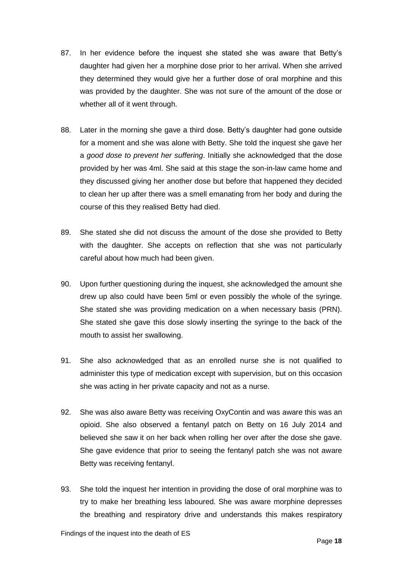- 87. In her evidence before the inquest she stated she was aware that Betty's daughter had given her a morphine dose prior to her arrival. When she arrived they determined they would give her a further dose of oral morphine and this was provided by the daughter. She was not sure of the amount of the dose or whether all of it went through.
- 88. Later in the morning she gave a third dose. Betty's daughter had gone outside for a moment and she was alone with Betty. She told the inquest she gave her a *good dose to prevent her suffering*. Initially she acknowledged that the dose provided by her was 4ml. She said at this stage the son-in-law came home and they discussed giving her another dose but before that happened they decided to clean her up after there was a smell emanating from her body and during the course of this they realised Betty had died.
- 89. She stated she did not discuss the amount of the dose she provided to Betty with the daughter. She accepts on reflection that she was not particularly careful about how much had been given.
- 90. Upon further questioning during the inquest, she acknowledged the amount she drew up also could have been 5ml or even possibly the whole of the syringe. She stated she was providing medication on a when necessary basis (PRN). She stated she gave this dose slowly inserting the syringe to the back of the mouth to assist her swallowing.
- 91. She also acknowledged that as an enrolled nurse she is not qualified to administer this type of medication except with supervision, but on this occasion she was acting in her private capacity and not as a nurse.
- 92. She was also aware Betty was receiving OxyContin and was aware this was an opioid. She also observed a fentanyl patch on Betty on 16 July 2014 and believed she saw it on her back when rolling her over after the dose she gave. She gave evidence that prior to seeing the fentanyl patch she was not aware Betty was receiving fentanyl.
- 93. She told the inquest her intention in providing the dose of oral morphine was to try to make her breathing less laboured. She was aware morphine depresses the breathing and respiratory drive and understands this makes respiratory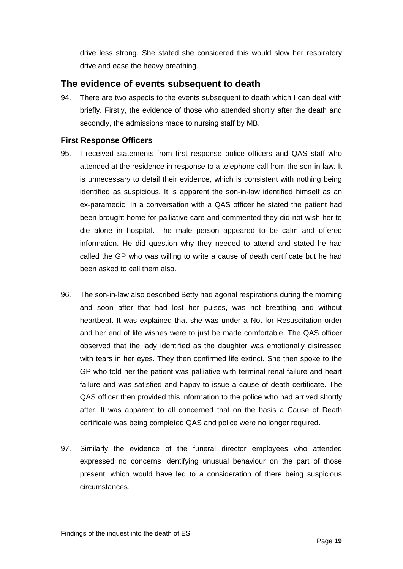drive less strong. She stated she considered this would slow her respiratory drive and ease the heavy breathing.

#### <span id="page-20-0"></span>**The evidence of events subsequent to death**

94. There are two aspects to the events subsequent to death which I can deal with briefly. Firstly, the evidence of those who attended shortly after the death and secondly, the admissions made to nursing staff by MB.

#### <span id="page-20-1"></span>**First Response Officers**

- 95. I received statements from first response police officers and QAS staff who attended at the residence in response to a telephone call from the son-in-law. It is unnecessary to detail their evidence, which is consistent with nothing being identified as suspicious. It is apparent the son-in-law identified himself as an ex-paramedic. In a conversation with a QAS officer he stated the patient had been brought home for palliative care and commented they did not wish her to die alone in hospital. The male person appeared to be calm and offered information. He did question why they needed to attend and stated he had called the GP who was willing to write a cause of death certificate but he had been asked to call them also.
- 96. The son-in-law also described Betty had agonal respirations during the morning and soon after that had lost her pulses, was not breathing and without heartbeat. It was explained that she was under a Not for Resuscitation order and her end of life wishes were to just be made comfortable. The QAS officer observed that the lady identified as the daughter was emotionally distressed with tears in her eyes. They then confirmed life extinct. She then spoke to the GP who told her the patient was palliative with terminal renal failure and heart failure and was satisfied and happy to issue a cause of death certificate. The QAS officer then provided this information to the police who had arrived shortly after. It was apparent to all concerned that on the basis a Cause of Death certificate was being completed QAS and police were no longer required.
- 97. Similarly the evidence of the funeral director employees who attended expressed no concerns identifying unusual behaviour on the part of those present, which would have led to a consideration of there being suspicious circumstances.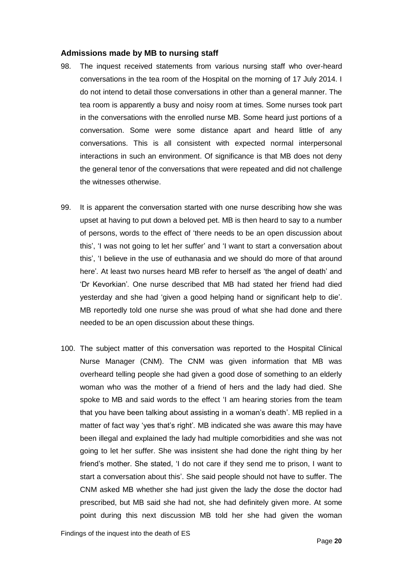#### <span id="page-21-0"></span>**Admissions made by MB to nursing staff**

- 98. The inquest received statements from various nursing staff who over-heard conversations in the tea room of the Hospital on the morning of 17 July 2014. I do not intend to detail those conversations in other than a general manner. The tea room is apparently a busy and noisy room at times. Some nurses took part in the conversations with the enrolled nurse MB. Some heard just portions of a conversation. Some were some distance apart and heard little of any conversations. This is all consistent with expected normal interpersonal interactions in such an environment. Of significance is that MB does not deny the general tenor of the conversations that were repeated and did not challenge the witnesses otherwise.
- 99. It is apparent the conversation started with one nurse describing how she was upset at having to put down a beloved pet. MB is then heard to say to a number of persons, words to the effect of 'there needs to be an open discussion about this', 'I was not going to let her suffer' and 'I want to start a conversation about this', 'I believe in the use of euthanasia and we should do more of that around here'*.* At least two nurses heard MB refer to herself as 'the angel of death' and 'Dr Kevorkian'*.* One nurse described that MB had stated her friend had died yesterday and she had 'given a good helping hand or significant help to die'. MB reportedly told one nurse she was proud of what she had done and there needed to be an open discussion about these things.
- 100. The subject matter of this conversation was reported to the Hospital Clinical Nurse Manager (CNM). The CNM was given information that MB was overheard telling people she had given a good dose of something to an elderly woman who was the mother of a friend of hers and the lady had died. She spoke to MB and said words to the effect 'I am hearing stories from the team that you have been talking about assisting in a woman's death'. MB replied in a matter of fact way 'yes that's right'*.* MB indicated she was aware this may have been illegal and explained the lady had multiple comorbidities and she was not going to let her suffer. She was insistent she had done the right thing by her friend's mother. She stated, 'I do not care if they send me to prison, I want to start a conversation about this'. She said people should not have to suffer. The CNM asked MB whether she had just given the lady the dose the doctor had prescribed, but MB said she had not, she had definitely given more. At some point during this next discussion MB told her she had given the woman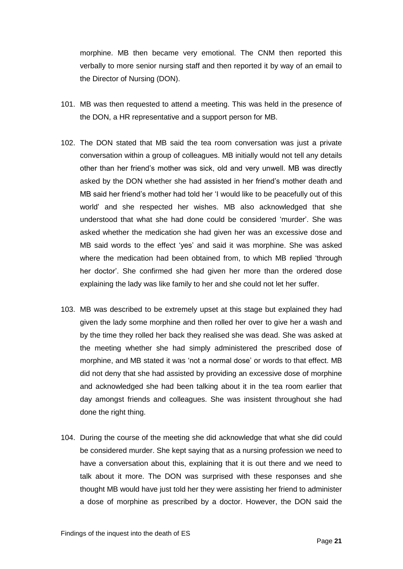morphine. MB then became very emotional. The CNM then reported this verbally to more senior nursing staff and then reported it by way of an email to the Director of Nursing (DON).

- 101. MB was then requested to attend a meeting. This was held in the presence of the DON, a HR representative and a support person for MB.
- 102. The DON stated that MB said the tea room conversation was just a private conversation within a group of colleagues. MB initially would not tell any details other than her friend's mother was sick, old and very unwell. MB was directly asked by the DON whether she had assisted in her friend's mother death and MB said her friend's mother had told her 'I would like to be peacefully out of this world' and she respected her wishes. MB also acknowledged that she understood that what she had done could be considered 'murder'. She was asked whether the medication she had given her was an excessive dose and MB said words to the effect 'yes' and said it was morphine. She was asked where the medication had been obtained from, to which MB replied 'through her doctor'. She confirmed she had given her more than the ordered dose explaining the lady was like family to her and she could not let her suffer.
- 103. MB was described to be extremely upset at this stage but explained they had given the lady some morphine and then rolled her over to give her a wash and by the time they rolled her back they realised she was dead. She was asked at the meeting whether she had simply administered the prescribed dose of morphine, and MB stated it was 'not a normal dose' or words to that effect. MB did not deny that she had assisted by providing an excessive dose of morphine and acknowledged she had been talking about it in the tea room earlier that day amongst friends and colleagues. She was insistent throughout she had done the right thing.
- 104. During the course of the meeting she did acknowledge that what she did could be considered murder. She kept saying that as a nursing profession we need to have a conversation about this, explaining that it is out there and we need to talk about it more. The DON was surprised with these responses and she thought MB would have just told her they were assisting her friend to administer a dose of morphine as prescribed by a doctor. However, the DON said the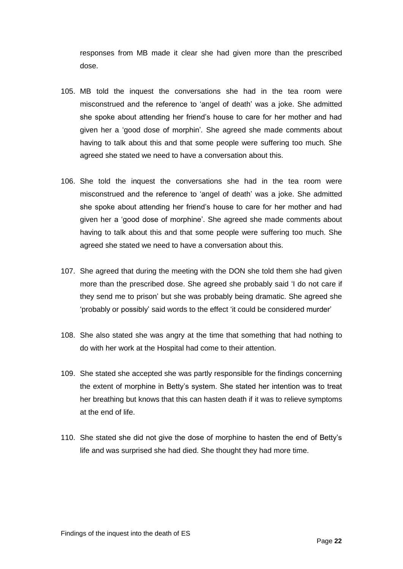responses from MB made it clear she had given more than the prescribed dose.

- 105. MB told the inquest the conversations she had in the tea room were misconstrued and the reference to 'angel of death' was a joke. She admitted she spoke about attending her friend's house to care for her mother and had given her a 'good dose of morphin'*.* She agreed she made comments about having to talk about this and that some people were suffering too much. She agreed she stated we need to have a conversation about this.
- 106. She told the inquest the conversations she had in the tea room were misconstrued and the reference to 'angel of death' was a joke. She admitted she spoke about attending her friend's house to care for her mother and had given her a 'good dose of morphine'. She agreed she made comments about having to talk about this and that some people were suffering too much. She agreed she stated we need to have a conversation about this.
- 107. She agreed that during the meeting with the DON she told them she had given more than the prescribed dose. She agreed she probably said 'I do not care if they send me to prison' but she was probably being dramatic. She agreed she 'probably or possibly' said words to the effect 'it could be considered murder'
- 108. She also stated she was angry at the time that something that had nothing to do with her work at the Hospital had come to their attention.
- 109. She stated she accepted she was partly responsible for the findings concerning the extent of morphine in Betty's system. She stated her intention was to treat her breathing but knows that this can hasten death if it was to relieve symptoms at the end of life.
- 110. She stated she did not give the dose of morphine to hasten the end of Betty's life and was surprised she had died. She thought they had more time.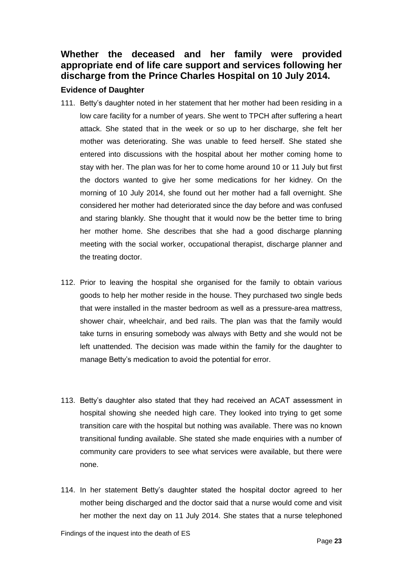## <span id="page-24-0"></span>**Whether the deceased and her family were provided appropriate end of life care support and services following her discharge from the Prince Charles Hospital on 10 July 2014.**

#### <span id="page-24-1"></span>**Evidence of Daughter**

- 111. Betty's daughter noted in her statement that her mother had been residing in a low care facility for a number of years. She went to TPCH after suffering a heart attack. She stated that in the week or so up to her discharge, she felt her mother was deteriorating. She was unable to feed herself. She stated she entered into discussions with the hospital about her mother coming home to stay with her. The plan was for her to come home around 10 or 11 July but first the doctors wanted to give her some medications for her kidney. On the morning of 10 July 2014, she found out her mother had a fall overnight. She considered her mother had deteriorated since the day before and was confused and staring blankly. She thought that it would now be the better time to bring her mother home. She describes that she had a good discharge planning meeting with the social worker, occupational therapist, discharge planner and the treating doctor.
- 112. Prior to leaving the hospital she organised for the family to obtain various goods to help her mother reside in the house. They purchased two single beds that were installed in the master bedroom as well as a pressure-area mattress, shower chair, wheelchair, and bed rails. The plan was that the family would take turns in ensuring somebody was always with Betty and she would not be left unattended. The decision was made within the family for the daughter to manage Betty's medication to avoid the potential for error.
- 113. Betty's daughter also stated that they had received an ACAT assessment in hospital showing she needed high care. They looked into trying to get some transition care with the hospital but nothing was available. There was no known transitional funding available. She stated she made enquiries with a number of community care providers to see what services were available, but there were none.
- 114. In her statement Betty's daughter stated the hospital doctor agreed to her mother being discharged and the doctor said that a nurse would come and visit her mother the next day on 11 July 2014. She states that a nurse telephoned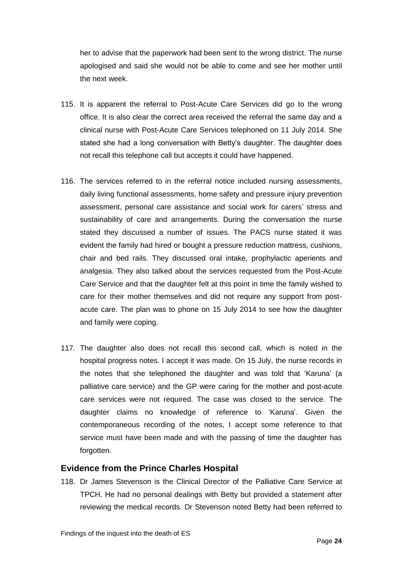her to advise that the paperwork had been sent to the wrong district. The nurse apologised and said she would not be able to come and see her mother until the next week.

- 115. It is apparent the referral to Post-Acute Care Services did go to the wrong office. It is also clear the correct area received the referral the same day and a clinical nurse with Post-Acute Care Services telephoned on 11 July 2014. She stated she had a long conversation with Betty's daughter. The daughter does not recall this telephone call but accepts it could have happened.
- 116. The services referred to in the referral notice included nursing assessments, daily living functional assessments, home safety and pressure injury prevention assessment, personal care assistance and social work for carers' stress and sustainability of care and arrangements. During the conversation the nurse stated they discussed a number of issues. The PACS nurse stated it was evident the family had hired or bought a pressure reduction mattress, cushions, chair and bed rails. They discussed oral intake, prophylactic aperients and analgesia. They also talked about the services requested from the Post-Acute Care Service and that the daughter felt at this point in time the family wished to care for their mother themselves and did not require any support from postacute care. The plan was to phone on 15 July 2014 to see how the daughter and family were coping.
- 117. The daughter also does not recall this second call, which is noted in the hospital progress notes. I accept it was made. On 15 July, the nurse records in the notes that she telephoned the daughter and was told that 'Karuna' (a palliative care service) and the GP were caring for the mother and post-acute care services were not required. The case was closed to the service. The daughter claims no knowledge of reference to 'Karuna'. Given the contemporaneous recording of the notes, I accept some reference to that service must have been made and with the passing of time the daughter has forgotten.

#### <span id="page-25-0"></span>**Evidence from the Prince Charles Hospital**

118. Dr James Stevenson is the Clinical Director of the Palliative Care Service at TPCH. He had no personal dealings with Betty but provided a statement after reviewing the medical records. Dr Stevenson noted Betty had been referred to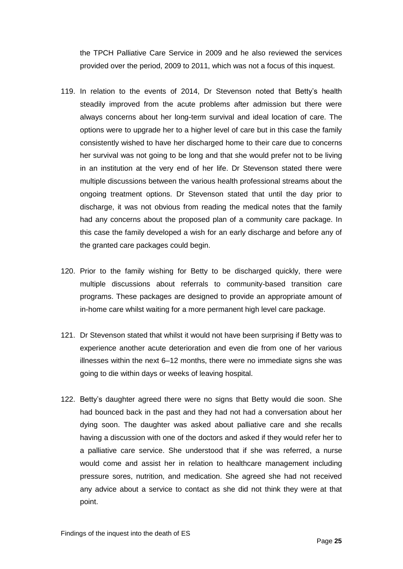the TPCH Palliative Care Service in 2009 and he also reviewed the services provided over the period, 2009 to 2011, which was not a focus of this inquest.

- 119. In relation to the events of 2014, Dr Stevenson noted that Betty's health steadily improved from the acute problems after admission but there were always concerns about her long-term survival and ideal location of care. The options were to upgrade her to a higher level of care but in this case the family consistently wished to have her discharged home to their care due to concerns her survival was not going to be long and that she would prefer not to be living in an institution at the very end of her life. Dr Stevenson stated there were multiple discussions between the various health professional streams about the ongoing treatment options. Dr Stevenson stated that until the day prior to discharge, it was not obvious from reading the medical notes that the family had any concerns about the proposed plan of a community care package. In this case the family developed a wish for an early discharge and before any of the granted care packages could begin.
- 120. Prior to the family wishing for Betty to be discharged quickly, there were multiple discussions about referrals to community-based transition care programs. These packages are designed to provide an appropriate amount of in-home care whilst waiting for a more permanent high level care package.
- 121. Dr Stevenson stated that whilst it would not have been surprising if Betty was to experience another acute deterioration and even die from one of her various illnesses within the next 6–12 months, there were no immediate signs she was going to die within days or weeks of leaving hospital.
- 122. Betty's daughter agreed there were no signs that Betty would die soon. She had bounced back in the past and they had not had a conversation about her dying soon. The daughter was asked about palliative care and she recalls having a discussion with one of the doctors and asked if they would refer her to a palliative care service. She understood that if she was referred, a nurse would come and assist her in relation to healthcare management including pressure sores, nutrition, and medication. She agreed she had not received any advice about a service to contact as she did not think they were at that point.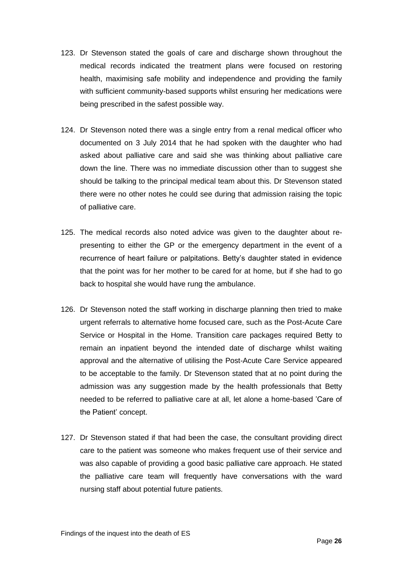- 123. Dr Stevenson stated the goals of care and discharge shown throughout the medical records indicated the treatment plans were focused on restoring health, maximising safe mobility and independence and providing the family with sufficient community-based supports whilst ensuring her medications were being prescribed in the safest possible way.
- 124. Dr Stevenson noted there was a single entry from a renal medical officer who documented on 3 July 2014 that he had spoken with the daughter who had asked about palliative care and said she was thinking about palliative care down the line. There was no immediate discussion other than to suggest she should be talking to the principal medical team about this. Dr Stevenson stated there were no other notes he could see during that admission raising the topic of palliative care.
- 125. The medical records also noted advice was given to the daughter about representing to either the GP or the emergency department in the event of a recurrence of heart failure or palpitations. Betty's daughter stated in evidence that the point was for her mother to be cared for at home, but if she had to go back to hospital she would have rung the ambulance.
- 126. Dr Stevenson noted the staff working in discharge planning then tried to make urgent referrals to alternative home focused care, such as the Post-Acute Care Service or Hospital in the Home. Transition care packages required Betty to remain an inpatient beyond the intended date of discharge whilst waiting approval and the alternative of utilising the Post-Acute Care Service appeared to be acceptable to the family. Dr Stevenson stated that at no point during the admission was any suggestion made by the health professionals that Betty needed to be referred to palliative care at all, let alone a home-based 'Care of the Patient' concept.
- 127. Dr Stevenson stated if that had been the case, the consultant providing direct care to the patient was someone who makes frequent use of their service and was also capable of providing a good basic palliative care approach. He stated the palliative care team will frequently have conversations with the ward nursing staff about potential future patients.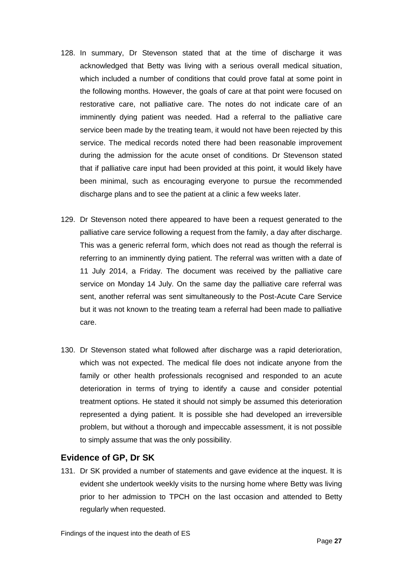- 128. In summary, Dr Stevenson stated that at the time of discharge it was acknowledged that Betty was living with a serious overall medical situation, which included a number of conditions that could prove fatal at some point in the following months. However, the goals of care at that point were focused on restorative care, not palliative care. The notes do not indicate care of an imminently dying patient was needed. Had a referral to the palliative care service been made by the treating team, it would not have been rejected by this service. The medical records noted there had been reasonable improvement during the admission for the acute onset of conditions. Dr Stevenson stated that if palliative care input had been provided at this point, it would likely have been minimal, such as encouraging everyone to pursue the recommended discharge plans and to see the patient at a clinic a few weeks later.
- 129. Dr Stevenson noted there appeared to have been a request generated to the palliative care service following a request from the family, a day after discharge. This was a generic referral form, which does not read as though the referral is referring to an imminently dying patient. The referral was written with a date of 11 July 2014, a Friday. The document was received by the palliative care service on Monday 14 July. On the same day the palliative care referral was sent, another referral was sent simultaneously to the Post-Acute Care Service but it was not known to the treating team a referral had been made to palliative care.
- 130. Dr Stevenson stated what followed after discharge was a rapid deterioration, which was not expected. The medical file does not indicate anyone from the family or other health professionals recognised and responded to an acute deterioration in terms of trying to identify a cause and consider potential treatment options. He stated it should not simply be assumed this deterioration represented a dying patient. It is possible she had developed an irreversible problem, but without a thorough and impeccable assessment, it is not possible to simply assume that was the only possibility.

#### <span id="page-28-0"></span>**Evidence of GP, Dr SK**

131. Dr SK provided a number of statements and gave evidence at the inquest. It is evident she undertook weekly visits to the nursing home where Betty was living prior to her admission to TPCH on the last occasion and attended to Betty regularly when requested.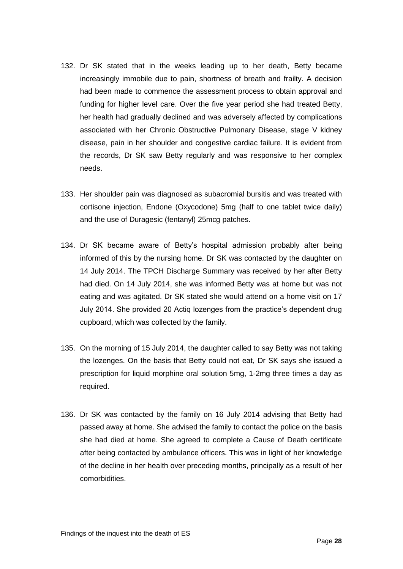- 132. Dr SK stated that in the weeks leading up to her death, Betty became increasingly immobile due to pain, shortness of breath and frailty. A decision had been made to commence the assessment process to obtain approval and funding for higher level care. Over the five year period she had treated Betty, her health had gradually declined and was adversely affected by complications associated with her Chronic Obstructive Pulmonary Disease, stage V kidney disease, pain in her shoulder and congestive cardiac failure. It is evident from the records, Dr SK saw Betty regularly and was responsive to her complex needs.
- 133. Her shoulder pain was diagnosed as subacromial bursitis and was treated with cortisone injection, Endone (Oxycodone) 5mg (half to one tablet twice daily) and the use of Duragesic (fentanyl) 25mcg patches.
- 134. Dr SK became aware of Betty's hospital admission probably after being informed of this by the nursing home. Dr SK was contacted by the daughter on 14 July 2014. The TPCH Discharge Summary was received by her after Betty had died. On 14 July 2014, she was informed Betty was at home but was not eating and was agitated. Dr SK stated she would attend on a home visit on 17 July 2014. She provided 20 Actiq lozenges from the practice's dependent drug cupboard, which was collected by the family.
- 135. On the morning of 15 July 2014, the daughter called to say Betty was not taking the lozenges. On the basis that Betty could not eat, Dr SK says she issued a prescription for liquid morphine oral solution 5mg, 1-2mg three times a day as required.
- 136. Dr SK was contacted by the family on 16 July 2014 advising that Betty had passed away at home. She advised the family to contact the police on the basis she had died at home. She agreed to complete a Cause of Death certificate after being contacted by ambulance officers. This was in light of her knowledge of the decline in her health over preceding months, principally as a result of her comorbidities.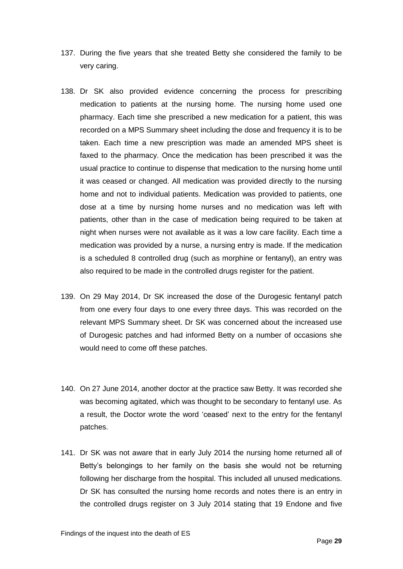- 137. During the five years that she treated Betty she considered the family to be very caring.
- 138. Dr SK also provided evidence concerning the process for prescribing medication to patients at the nursing home. The nursing home used one pharmacy. Each time she prescribed a new medication for a patient, this was recorded on a MPS Summary sheet including the dose and frequency it is to be taken. Each time a new prescription was made an amended MPS sheet is faxed to the pharmacy. Once the medication has been prescribed it was the usual practice to continue to dispense that medication to the nursing home until it was ceased or changed. All medication was provided directly to the nursing home and not to individual patients. Medication was provided to patients, one dose at a time by nursing home nurses and no medication was left with patients, other than in the case of medication being required to be taken at night when nurses were not available as it was a low care facility. Each time a medication was provided by a nurse, a nursing entry is made. If the medication is a scheduled 8 controlled drug (such as morphine or fentanyl), an entry was also required to be made in the controlled drugs register for the patient.
- 139. On 29 May 2014, Dr SK increased the dose of the Durogesic fentanyl patch from one every four days to one every three days. This was recorded on the relevant MPS Summary sheet. Dr SK was concerned about the increased use of Durogesic patches and had informed Betty on a number of occasions she would need to come off these patches.
- 140. On 27 June 2014, another doctor at the practice saw Betty. It was recorded she was becoming agitated, which was thought to be secondary to fentanyl use. As a result, the Doctor wrote the word 'ceased' next to the entry for the fentanyl patches.
- 141. Dr SK was not aware that in early July 2014 the nursing home returned all of Betty's belongings to her family on the basis she would not be returning following her discharge from the hospital. This included all unused medications. Dr SK has consulted the nursing home records and notes there is an entry in the controlled drugs register on 3 July 2014 stating that 19 Endone and five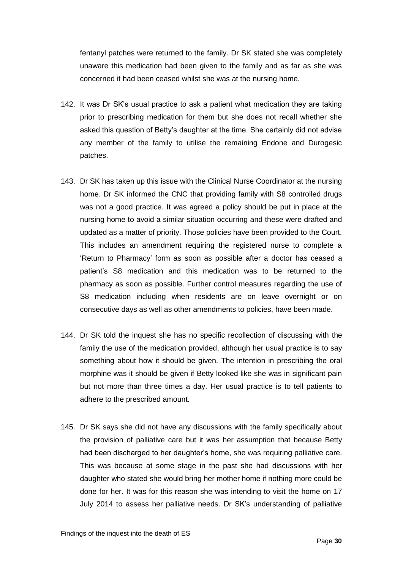fentanyl patches were returned to the family. Dr SK stated she was completely unaware this medication had been given to the family and as far as she was concerned it had been ceased whilst she was at the nursing home.

- 142. It was Dr SK's usual practice to ask a patient what medication they are taking prior to prescribing medication for them but she does not recall whether she asked this question of Betty's daughter at the time. She certainly did not advise any member of the family to utilise the remaining Endone and Durogesic patches.
- 143. Dr SK has taken up this issue with the Clinical Nurse Coordinator at the nursing home. Dr SK informed the CNC that providing family with S8 controlled drugs was not a good practice. It was agreed a policy should be put in place at the nursing home to avoid a similar situation occurring and these were drafted and updated as a matter of priority. Those policies have been provided to the Court. This includes an amendment requiring the registered nurse to complete a 'Return to Pharmacy' form as soon as possible after a doctor has ceased a patient's S8 medication and this medication was to be returned to the pharmacy as soon as possible. Further control measures regarding the use of S8 medication including when residents are on leave overnight or on consecutive days as well as other amendments to policies, have been made.
- 144. Dr SK told the inquest she has no specific recollection of discussing with the family the use of the medication provided, although her usual practice is to say something about how it should be given. The intention in prescribing the oral morphine was it should be given if Betty looked like she was in significant pain but not more than three times a day. Her usual practice is to tell patients to adhere to the prescribed amount.
- 145. Dr SK says she did not have any discussions with the family specifically about the provision of palliative care but it was her assumption that because Betty had been discharged to her daughter's home, she was requiring palliative care. This was because at some stage in the past she had discussions with her daughter who stated she would bring her mother home if nothing more could be done for her. It was for this reason she was intending to visit the home on 17 July 2014 to assess her palliative needs. Dr SK's understanding of palliative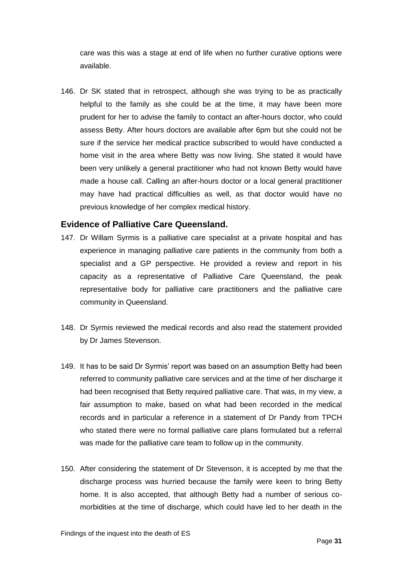care was this was a stage at end of life when no further curative options were available.

146. Dr SK stated that in retrospect, although she was trying to be as practically helpful to the family as she could be at the time, it may have been more prudent for her to advise the family to contact an after-hours doctor, who could assess Betty. After hours doctors are available after 6pm but she could not be sure if the service her medical practice subscribed to would have conducted a home visit in the area where Betty was now living. She stated it would have been very unlikely a general practitioner who had not known Betty would have made a house call. Calling an after-hours doctor or a local general practitioner may have had practical difficulties as well, as that doctor would have no previous knowledge of her complex medical history.

#### <span id="page-32-0"></span>**Evidence of Palliative Care Queensland.**

- 147. Dr Willam Syrmis is a palliative care specialist at a private hospital and has experience in managing palliative care patients in the community from both a specialist and a GP perspective. He provided a review and report in his capacity as a representative of Palliative Care Queensland, the peak representative body for palliative care practitioners and the palliative care community in Queensland.
- 148. Dr Syrmis reviewed the medical records and also read the statement provided by Dr James Stevenson.
- 149. It has to be said Dr Syrmis' report was based on an assumption Betty had been referred to community palliative care services and at the time of her discharge it had been recognised that Betty required palliative care. That was, in my view, a fair assumption to make, based on what had been recorded in the medical records and in particular a reference in a statement of Dr Pandy from TPCH who stated there were no formal palliative care plans formulated but a referral was made for the palliative care team to follow up in the community.
- 150. After considering the statement of Dr Stevenson, it is accepted by me that the discharge process was hurried because the family were keen to bring Betty home. It is also accepted, that although Betty had a number of serious comorbidities at the time of discharge, which could have led to her death in the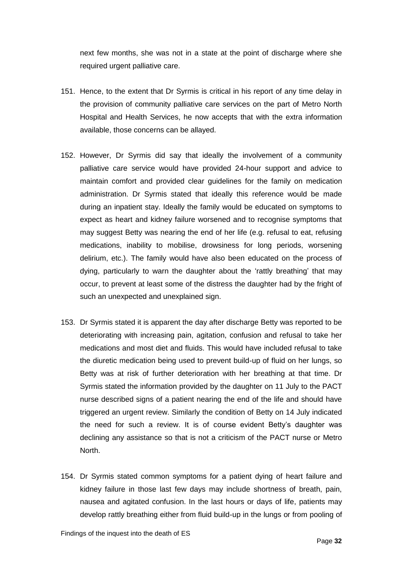next few months, she was not in a state at the point of discharge where she required urgent palliative care.

- 151. Hence, to the extent that Dr Syrmis is critical in his report of any time delay in the provision of community palliative care services on the part of Metro North Hospital and Health Services, he now accepts that with the extra information available, those concerns can be allayed.
- 152. However, Dr Syrmis did say that ideally the involvement of a community palliative care service would have provided 24-hour support and advice to maintain comfort and provided clear guidelines for the family on medication administration. Dr Syrmis stated that ideally this reference would be made during an inpatient stay. Ideally the family would be educated on symptoms to expect as heart and kidney failure worsened and to recognise symptoms that may suggest Betty was nearing the end of her life (e.g. refusal to eat, refusing medications, inability to mobilise, drowsiness for long periods, worsening delirium, etc.). The family would have also been educated on the process of dying, particularly to warn the daughter about the 'rattly breathing' that may occur, to prevent at least some of the distress the daughter had by the fright of such an unexpected and unexplained sign.
- 153. Dr Syrmis stated it is apparent the day after discharge Betty was reported to be deteriorating with increasing pain, agitation, confusion and refusal to take her medications and most diet and fluids. This would have included refusal to take the diuretic medication being used to prevent build-up of fluid on her lungs, so Betty was at risk of further deterioration with her breathing at that time. Dr Syrmis stated the information provided by the daughter on 11 July to the PACT nurse described signs of a patient nearing the end of the life and should have triggered an urgent review. Similarly the condition of Betty on 14 July indicated the need for such a review. It is of course evident Betty's daughter was declining any assistance so that is not a criticism of the PACT nurse or Metro North.
- 154. Dr Syrmis stated common symptoms for a patient dying of heart failure and kidney failure in those last few days may include shortness of breath, pain, nausea and agitated confusion. In the last hours or days of life, patients may develop rattly breathing either from fluid build-up in the lungs or from pooling of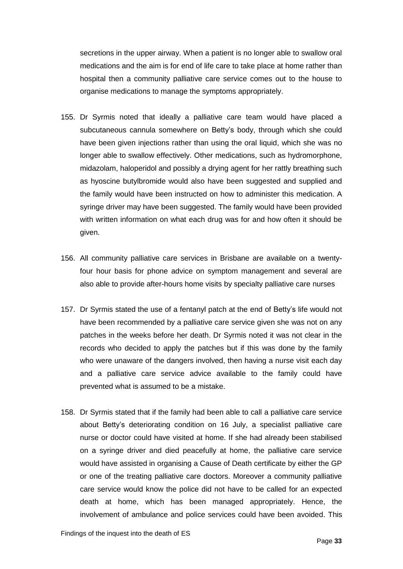secretions in the upper airway. When a patient is no longer able to swallow oral medications and the aim is for end of life care to take place at home rather than hospital then a community palliative care service comes out to the house to organise medications to manage the symptoms appropriately.

- 155. Dr Syrmis noted that ideally a palliative care team would have placed a subcutaneous cannula somewhere on Betty's body, through which she could have been given injections rather than using the oral liquid, which she was no longer able to swallow effectively. Other medications, such as hydromorphone, midazolam, haloperidol and possibly a drying agent for her rattly breathing such as hyoscine butylbromide would also have been suggested and supplied and the family would have been instructed on how to administer this medication. A syringe driver may have been suggested. The family would have been provided with written information on what each drug was for and how often it should be given.
- 156. All community palliative care services in Brisbane are available on a twentyfour hour basis for phone advice on symptom management and several are also able to provide after-hours home visits by specialty palliative care nurses
- 157. Dr Syrmis stated the use of a fentanyl patch at the end of Betty's life would not have been recommended by a palliative care service given she was not on any patches in the weeks before her death. Dr Syrmis noted it was not clear in the records who decided to apply the patches but if this was done by the family who were unaware of the dangers involved, then having a nurse visit each day and a palliative care service advice available to the family could have prevented what is assumed to be a mistake.
- 158. Dr Syrmis stated that if the family had been able to call a palliative care service about Betty's deteriorating condition on 16 July, a specialist palliative care nurse or doctor could have visited at home. If she had already been stabilised on a syringe driver and died peacefully at home, the palliative care service would have assisted in organising a Cause of Death certificate by either the GP or one of the treating palliative care doctors. Moreover a community palliative care service would know the police did not have to be called for an expected death at home, which has been managed appropriately. Hence, the involvement of ambulance and police services could have been avoided. This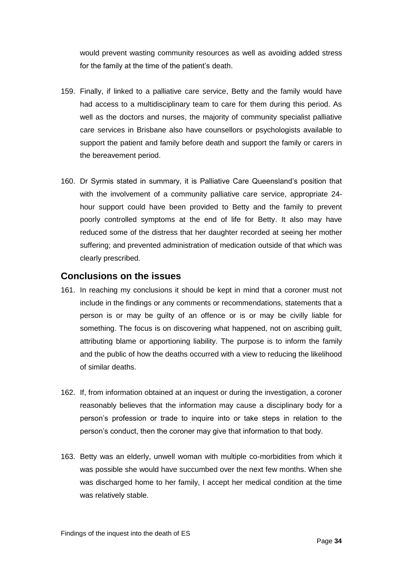would prevent wasting community resources as well as avoiding added stress for the family at the time of the patient's death.

- 159. Finally, if linked to a palliative care service, Betty and the family would have had access to a multidisciplinary team to care for them during this period. As well as the doctors and nurses, the majority of community specialist palliative care services in Brisbane also have counsellors or psychologists available to support the patient and family before death and support the family or carers in the bereavement period.
- 160. Dr Syrmis stated in summary, it is Palliative Care Queensland's position that with the involvement of a community palliative care service, appropriate 24 hour support could have been provided to Betty and the family to prevent poorly controlled symptoms at the end of life for Betty. It also may have reduced some of the distress that her daughter recorded at seeing her mother suffering; and prevented administration of medication outside of that which was clearly prescribed.

#### <span id="page-35-0"></span>**Conclusions on the issues**

- 161. In reaching my conclusions it should be kept in mind that a coroner must not include in the findings or any comments or recommendations, statements that a person is or may be guilty of an offence or is or may be civilly liable for something. The focus is on discovering what happened, not on ascribing guilt, attributing blame or apportioning liability. The purpose is to inform the family and the public of how the deaths occurred with a view to reducing the likelihood of similar deaths.
- 162. If, from information obtained at an inquest or during the investigation, a coroner reasonably believes that the information may cause a disciplinary body for a person's profession or trade to inquire into or take steps in relation to the person's conduct, then the coroner may give that information to that body.
- 163. Betty was an elderly, unwell woman with multiple co-morbidities from which it was possible she would have succumbed over the next few months. When she was discharged home to her family, I accept her medical condition at the time was relatively stable.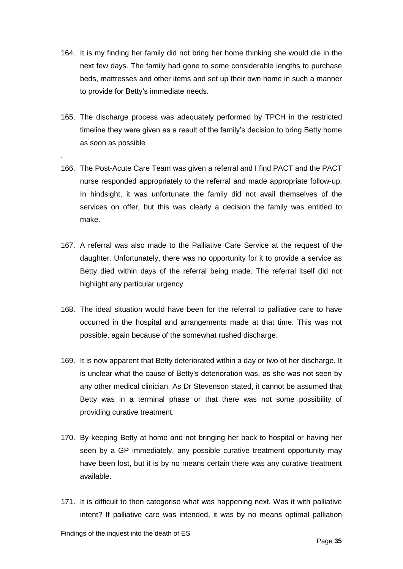- 164. It is my finding her family did not bring her home thinking she would die in the next few days. The family had gone to some considerable lengths to purchase beds, mattresses and other items and set up their own home in such a manner to provide for Betty's immediate needs.
- 165. The discharge process was adequately performed by TPCH in the restricted timeline they were given as a result of the family's decision to bring Betty home as soon as possible
- 166. The Post-Acute Care Team was given a referral and I find PACT and the PACT nurse responded appropriately to the referral and made appropriate follow-up. In hindsight, it was unfortunate the family did not avail themselves of the services on offer, but this was clearly a decision the family was entitled to make.
- 167. A referral was also made to the Palliative Care Service at the request of the daughter. Unfortunately, there was no opportunity for it to provide a service as Betty died within days of the referral being made. The referral itself did not highlight any particular urgency.
- 168. The ideal situation would have been for the referral to palliative care to have occurred in the hospital and arrangements made at that time. This was not possible, again because of the somewhat rushed discharge.
- 169. It is now apparent that Betty deteriorated within a day or two of her discharge. It is unclear what the cause of Betty's deterioration was, as she was not seen by any other medical clinician. As Dr Stevenson stated, it cannot be assumed that Betty was in a terminal phase or that there was not some possibility of providing curative treatment.
- 170. By keeping Betty at home and not bringing her back to hospital or having her seen by a GP immediately, any possible curative treatment opportunity may have been lost, but it is by no means certain there was any curative treatment available.
- 171. It is difficult to then categorise what was happening next. Was it with palliative intent? If palliative care was intended, it was by no means optimal palliation

.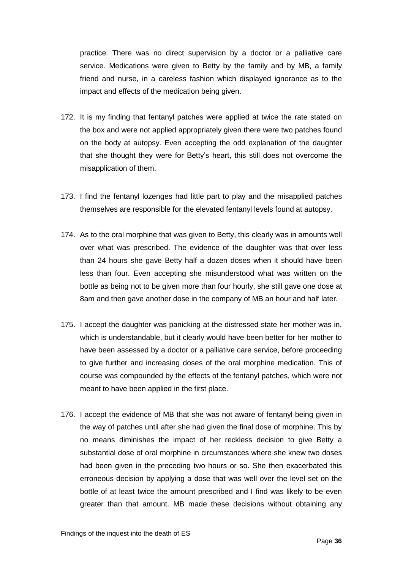practice. There was no direct supervision by a doctor or a palliative care service. Medications were given to Betty by the family and by MB, a family friend and nurse, in a careless fashion which displayed ignorance as to the impact and effects of the medication being given.

- 172. It is my finding that fentanyl patches were applied at twice the rate stated on the box and were not applied appropriately given there were two patches found on the body at autopsy. Even accepting the odd explanation of the daughter that she thought they were for Betty's heart, this still does not overcome the misapplication of them.
- 173. I find the fentanyl lozenges had little part to play and the misapplied patches themselves are responsible for the elevated fentanyl levels found at autopsy.
- 174. As to the oral morphine that was given to Betty, this clearly was in amounts well over what was prescribed. The evidence of the daughter was that over less than 24 hours she gave Betty half a dozen doses when it should have been less than four. Even accepting she misunderstood what was written on the bottle as being not to be given more than four hourly, she still gave one dose at 8am and then gave another dose in the company of MB an hour and half later.
- 175. I accept the daughter was panicking at the distressed state her mother was in, which is understandable, but it clearly would have been better for her mother to have been assessed by a doctor or a palliative care service, before proceeding to give further and increasing doses of the oral morphine medication. This of course was compounded by the effects of the fentanyl patches, which were not meant to have been applied in the first place.
- 176. I accept the evidence of MB that she was not aware of fentanyl being given in the way of patches until after she had given the final dose of morphine. This by no means diminishes the impact of her reckless decision to give Betty a substantial dose of oral morphine in circumstances where she knew two doses had been given in the preceding two hours or so. She then exacerbated this erroneous decision by applying a dose that was well over the level set on the bottle of at least twice the amount prescribed and I find was likely to be even greater than that amount. MB made these decisions without obtaining any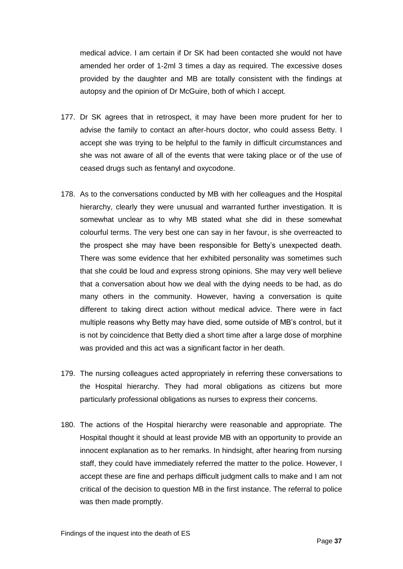medical advice. I am certain if Dr SK had been contacted she would not have amended her order of 1-2ml 3 times a day as required. The excessive doses provided by the daughter and MB are totally consistent with the findings at autopsy and the opinion of Dr McGuire, both of which I accept.

- 177. Dr SK agrees that in retrospect, it may have been more prudent for her to advise the family to contact an after-hours doctor, who could assess Betty. I accept she was trying to be helpful to the family in difficult circumstances and she was not aware of all of the events that were taking place or of the use of ceased drugs such as fentanyl and oxycodone.
- 178. As to the conversations conducted by MB with her colleagues and the Hospital hierarchy, clearly they were unusual and warranted further investigation. It is somewhat unclear as to why MB stated what she did in these somewhat colourful terms. The very best one can say in her favour, is she overreacted to the prospect she may have been responsible for Betty's unexpected death. There was some evidence that her exhibited personality was sometimes such that she could be loud and express strong opinions. She may very well believe that a conversation about how we deal with the dying needs to be had, as do many others in the community. However, having a conversation is quite different to taking direct action without medical advice. There were in fact multiple reasons why Betty may have died, some outside of MB's control, but it is not by coincidence that Betty died a short time after a large dose of morphine was provided and this act was a significant factor in her death.
- 179. The nursing colleagues acted appropriately in referring these conversations to the Hospital hierarchy. They had moral obligations as citizens but more particularly professional obligations as nurses to express their concerns.
- 180. The actions of the Hospital hierarchy were reasonable and appropriate. The Hospital thought it should at least provide MB with an opportunity to provide an innocent explanation as to her remarks. In hindsight, after hearing from nursing staff, they could have immediately referred the matter to the police. However, I accept these are fine and perhaps difficult judgment calls to make and I am not critical of the decision to question MB in the first instance. The referral to police was then made promptly.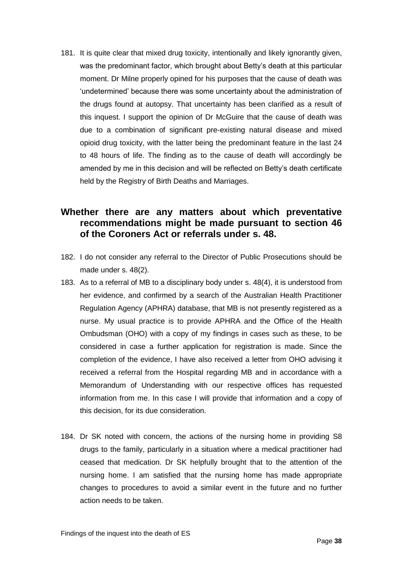181. It is quite clear that mixed drug toxicity, intentionally and likely ignorantly given, was the predominant factor, which brought about Betty's death at this particular moment. Dr Milne properly opined for his purposes that the cause of death was 'undetermined' because there was some uncertainty about the administration of the drugs found at autopsy. That uncertainty has been clarified as a result of this inquest. I support the opinion of Dr McGuire that the cause of death was due to a combination of significant pre-existing natural disease and mixed opioid drug toxicity, with the latter being the predominant feature in the last 24 to 48 hours of life. The finding as to the cause of death will accordingly be amended by me in this decision and will be reflected on Betty's death certificate held by the Registry of Birth Deaths and Marriages.

## <span id="page-39-0"></span>**Whether there are any matters about which preventative recommendations might be made pursuant to section 46 of the Coroners Act or referrals under s. 48.**

- 182. I do not consider any referral to the Director of Public Prosecutions should be made under s. 48(2).
- 183. As to a referral of MB to a disciplinary body under s. 48(4), it is understood from her evidence, and confirmed by a search of the Australian Health Practitioner Regulation Agency (APHRA) database, that MB is not presently registered as a nurse. My usual practice is to provide APHRA and the Office of the Health Ombudsman (OHO) with a copy of my findings in cases such as these, to be considered in case a further application for registration is made. Since the completion of the evidence, I have also received a letter from OHO advising it received a referral from the Hospital regarding MB and in accordance with a Memorandum of Understanding with our respective offices has requested information from me. In this case I will provide that information and a copy of this decision, for its due consideration.
- 184. Dr SK noted with concern, the actions of the nursing home in providing S8 drugs to the family, particularly in a situation where a medical practitioner had ceased that medication. Dr SK helpfully brought that to the attention of the nursing home. I am satisfied that the nursing home has made appropriate changes to procedures to avoid a similar event in the future and no further action needs to be taken.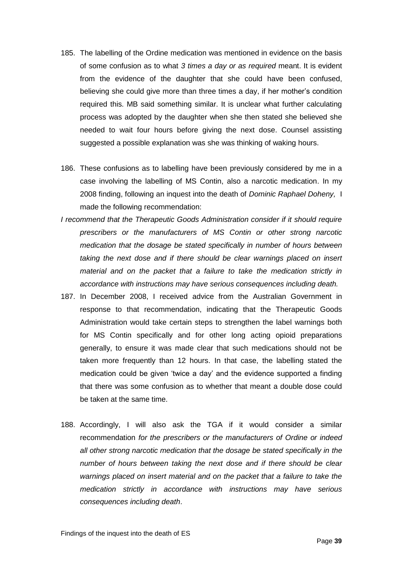- 185. The labelling of the Ordine medication was mentioned in evidence on the basis of some confusion as to what *3 times a day or as required* meant. It is evident from the evidence of the daughter that she could have been confused, believing she could give more than three times a day, if her mother's condition required this. MB said something similar. It is unclear what further calculating process was adopted by the daughter when she then stated she believed she needed to wait four hours before giving the next dose. Counsel assisting suggested a possible explanation was she was thinking of waking hours.
- 186. These confusions as to labelling have been previously considered by me in a case involving the labelling of MS Contin, also a narcotic medication. In my 2008 finding, following an inquest into the death of *Dominic Raphael Doheny,* I made the following recommendation:
- *I recommend that the Therapeutic Goods Administration consider if it should require prescribers or the manufacturers of MS Contin or other strong narcotic medication that the dosage be stated specifically in number of hours between*  taking the next dose and if there should be clear warnings placed on insert *material and on the packet that a failure to take the medication strictly in accordance with instructions may have serious consequences including death.*
- 187. In December 2008, I received advice from the Australian Government in response to that recommendation, indicating that the Therapeutic Goods Administration would take certain steps to strengthen the label warnings both for MS Contin specifically and for other long acting opioid preparations generally, to ensure it was made clear that such medications should not be taken more frequently than 12 hours. In that case, the labelling stated the medication could be given 'twice a day' and the evidence supported a finding that there was some confusion as to whether that meant a double dose could be taken at the same time.
- 188. Accordingly, I will also ask the TGA if it would consider a similar recommendation *for the prescribers or the manufacturers of Ordine or indeed all other strong narcotic medication that the dosage be stated specifically in the number of hours between taking the next dose and if there should be clear warnings placed on insert material and on the packet that a failure to take the medication strictly in accordance with instructions may have serious consequences including death*.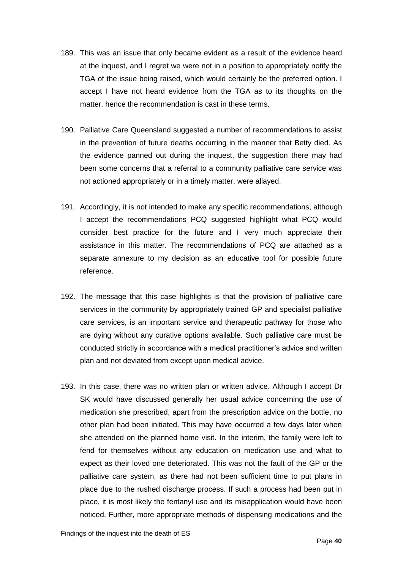- 189. This was an issue that only became evident as a result of the evidence heard at the inquest, and I regret we were not in a position to appropriately notify the TGA of the issue being raised, which would certainly be the preferred option. I accept I have not heard evidence from the TGA as to its thoughts on the matter, hence the recommendation is cast in these terms.
- 190. Palliative Care Queensland suggested a number of recommendations to assist in the prevention of future deaths occurring in the manner that Betty died. As the evidence panned out during the inquest, the suggestion there may had been some concerns that a referral to a community palliative care service was not actioned appropriately or in a timely matter, were allayed.
- 191. Accordingly, it is not intended to make any specific recommendations, although I accept the recommendations PCQ suggested highlight what PCQ would consider best practice for the future and I very much appreciate their assistance in this matter. The recommendations of PCQ are attached as a separate annexure to my decision as an educative tool for possible future reference.
- 192. The message that this case highlights is that the provision of palliative care services in the community by appropriately trained GP and specialist palliative care services, is an important service and therapeutic pathway for those who are dying without any curative options available. Such palliative care must be conducted strictly in accordance with a medical practitioner's advice and written plan and not deviated from except upon medical advice.
- 193. In this case, there was no written plan or written advice. Although I accept Dr SK would have discussed generally her usual advice concerning the use of medication she prescribed, apart from the prescription advice on the bottle, no other plan had been initiated. This may have occurred a few days later when she attended on the planned home visit. In the interim, the family were left to fend for themselves without any education on medication use and what to expect as their loved one deteriorated. This was not the fault of the GP or the palliative care system, as there had not been sufficient time to put plans in place due to the rushed discharge process. If such a process had been put in place, it is most likely the fentanyl use and its misapplication would have been noticed. Further, more appropriate methods of dispensing medications and the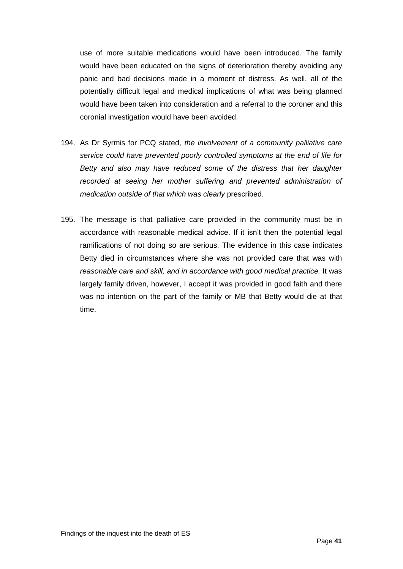use of more suitable medications would have been introduced. The family would have been educated on the signs of deterioration thereby avoiding any panic and bad decisions made in a moment of distress. As well, all of the potentially difficult legal and medical implications of what was being planned would have been taken into consideration and a referral to the coroner and this coronial investigation would have been avoided.

- 194. As Dr Syrmis for PCQ stated, *the involvement of a community palliative care service could have prevented poorly controlled symptoms at the end of life for Betty and also may have reduced some of the distress that her daughter*  recorded at seeing her mother suffering and prevented administration of *medication outside of that which was clearly* prescribed.
- 195. The message is that palliative care provided in the community must be in accordance with reasonable medical advice. If it isn't then the potential legal ramifications of not doing so are serious. The evidence in this case indicates Betty died in circumstances where she was not provided care that was with *reasonable care and skill, and in accordance with good medical practice.* It was largely family driven, however, I accept it was provided in good faith and there was no intention on the part of the family or MB that Betty would die at that time.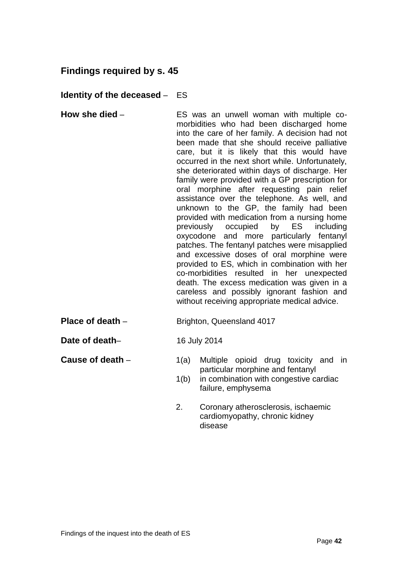## <span id="page-43-0"></span>**Findings required by s. 45**

#### <span id="page-43-1"></span>**Identity of the deceased** – ES

- <span id="page-43-2"></span>**How she died** – ES was an unwell woman with multiple comorbidities who had been discharged home into the care of her family. A decision had not been made that she should receive palliative care, but it is likely that this would have occurred in the next short while. Unfortunately, she deteriorated within days of discharge. Her family were provided with a GP prescription for oral morphine after requesting pain relief assistance over the telephone. As well, and unknown to the GP, the family had been provided with medication from a nursing home previously occupied by ES including oxycodone and more particularly fentanyl patches. The fentanyl patches were misapplied and excessive doses of oral morphine were provided to ES, which in combination with her co-morbidities resulted in her unexpected death. The excess medication was given in a careless and possibly ignorant fashion and without receiving appropriate medical advice.
- <span id="page-43-3"></span>**Place of death** – Brighton, Queensland 4017
- <span id="page-43-4"></span>**Date of death–** 16 July 2014
- 
- <span id="page-43-5"></span>**Cause of death** – 1(a) Multiple opioid drug toxicity and in particular morphine and fentanyl
	- 1(b) in combination with congestive cardiac failure, emphysema
	- 2. Coronary atherosclerosis, ischaemic cardiomyopathy, chronic kidney disease